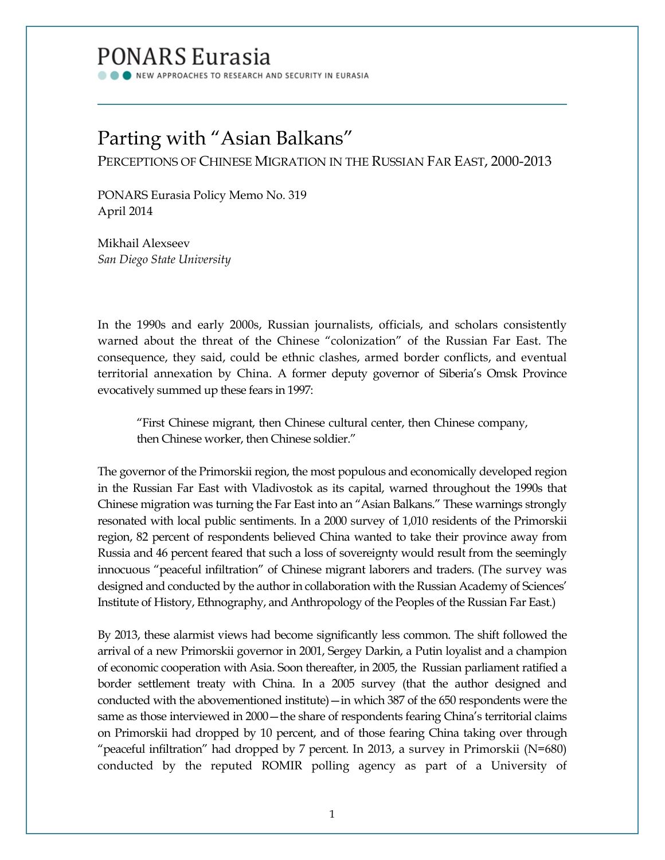# **PONARS Eurasia**

NEW APPROACHES TO RESEARCH AND SECURITY IN EURASIA

# Parting with "Asian Balkans"

PERCEPTIONS OF CHINESE MIGRATION IN THE RUSSIAN FAR EAST, 2000-2013

PONARS Eurasia Policy Memo No. 319 April 2014

Mikhail Alexseev *San Diego State University*

In the 1990s and early 2000s, Russian journalists, officials, and scholars consistently warned about the threat of the Chinese "colonization" of the Russian Far East. The consequence, they said, could be ethnic clashes, armed border conflicts, and eventual territorial annexation by China. A former deputy governor of Siberia's Omsk Province evocatively summed up these fears in 1997:

"First Chinese migrant, then Chinese cultural center, then Chinese company, then Chinese worker, then Chinese soldier."

The governor of the Primorskii region, the most populous and economically developed region in the Russian Far East with Vladivostok as its capital, warned throughout the 1990s that Chinese migration was turning the Far East into an "Asian Balkans." These warnings strongly resonated with local public sentiments. In a 2000 survey of 1,010 residents of the Primorskii region, 82 percent of respondents believed China wanted to take their province away from Russia and 46 percent feared that such a loss of sovereignty would result from the seemingly innocuous "peaceful infiltration" of Chinese migrant laborers and traders. (The survey was designed and conducted by the author in collaboration with the Russian Academy of Sciences' Institute of History, Ethnography, and Anthropology of the Peoples of the Russian Far East.)

By 2013, these alarmist views had become significantly less common. The shift followed the arrival of a new Primorskii governor in 2001, Sergey Darkin, a Putin loyalist and a champion of economic cooperation with Asia. Soon thereafter, in 2005, the Russian parliament ratified a border settlement treaty with China. In a 2005 survey (that the author designed and conducted with the abovementioned institute)—in which 387 of the 650 respondents were the same as those interviewed in  $2000$  – the share of respondents fearing China's territorial claims on Primorskii had dropped by 10 percent, and of those fearing China taking over through "peaceful infiltration" had dropped by 7 percent. In 2013, a survey in Primorskii (N=680) conducted by the reputed ROMIR polling agency as part of a University of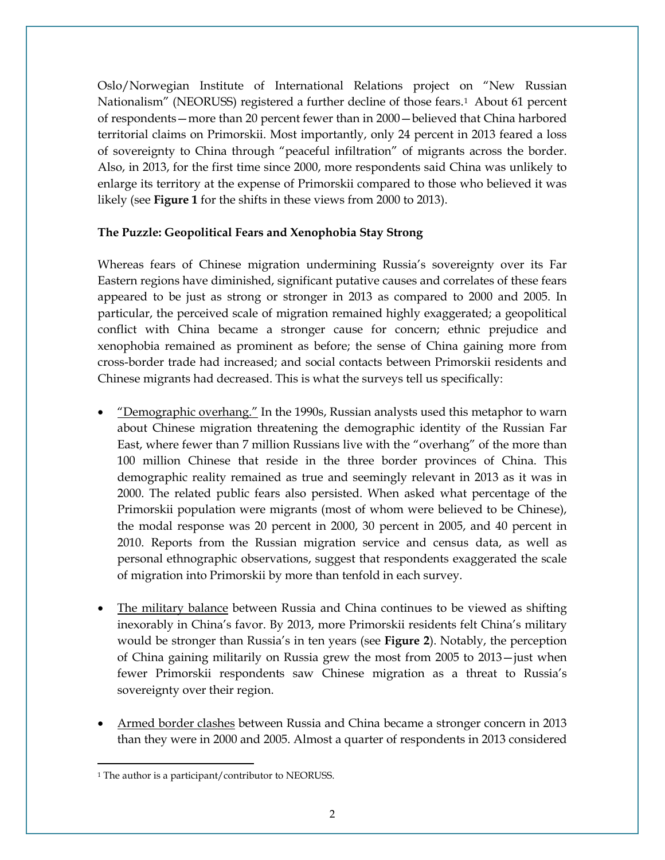Oslo/Norwegian Institute of International Relations project on "New Russian Nationalism" (NEORUSS) registered a further decline of those fears.<sup>1</sup> About 61 percent of respondents—more than 20 percent fewer than in 2000—believed that China harbored territorial claims on Primorskii. Most importantly, only 24 percent in 2013 feared a loss of sovereignty to China through "peaceful infiltration" of migrants across the border. Also, in 2013, for the first time since 2000, more respondents said China was unlikely to enlarge its territory at the expense of Primorskii compared to those who believed it was likely (see **Figure 1** for the shifts in these views from 2000 to 2013).

## **The Puzzle: Geopolitical Fears and Xenophobia Stay Strong**

Whereas fears of Chinese migration undermining Russia's sovereignty over its Far Eastern regions have diminished, significant putative causes and correlates of these fears appeared to be just as strong or stronger in 2013 as compared to 2000 and 2005. In particular, the perceived scale of migration remained highly exaggerated; a geopolitical conflict with China became a stronger cause for concern; ethnic prejudice and xenophobia remained as prominent as before; the sense of China gaining more from cross-border trade had increased; and social contacts between Primorskii residents and Chinese migrants had decreased. This is what the surveys tell us specifically:

- "Demographic overhang." In the 1990s, Russian analysts used this metaphor to warn about Chinese migration threatening the demographic identity of the Russian Far East, where fewer than 7 million Russians live with the "overhang" of the more than 100 million Chinese that reside in the three border provinces of China. This demographic reality remained as true and seemingly relevant in 2013 as it was in 2000. The related public fears also persisted. When asked what percentage of the Primorskii population were migrants (most of whom were believed to be Chinese), the modal response was 20 percent in 2000, 30 percent in 2005, and 40 percent in 2010. Reports from the Russian migration service and census data, as well as personal ethnographic observations, suggest that respondents exaggerated the scale of migration into Primorskii by more than tenfold in each survey.
- The military balance between Russia and China continues to be viewed as shifting inexorably in China's favor. By 2013, more Primorskii residents felt China's military would be stronger than Russia's in ten years (see **Figure 2**). Notably, the perception of China gaining militarily on Russia grew the most from 2005 to 2013—just when fewer Primorskii respondents saw Chinese migration as a threat to Russia's sovereignty over their region.
- Armed border clashes between Russia and China became a stronger concern in 2013 than they were in 2000 and 2005. Almost a quarter of respondents in 2013 considered

<span id="page-1-0"></span><sup>&</sup>lt;sup>1</sup> The author is a participant/contributor to NEORUSS. l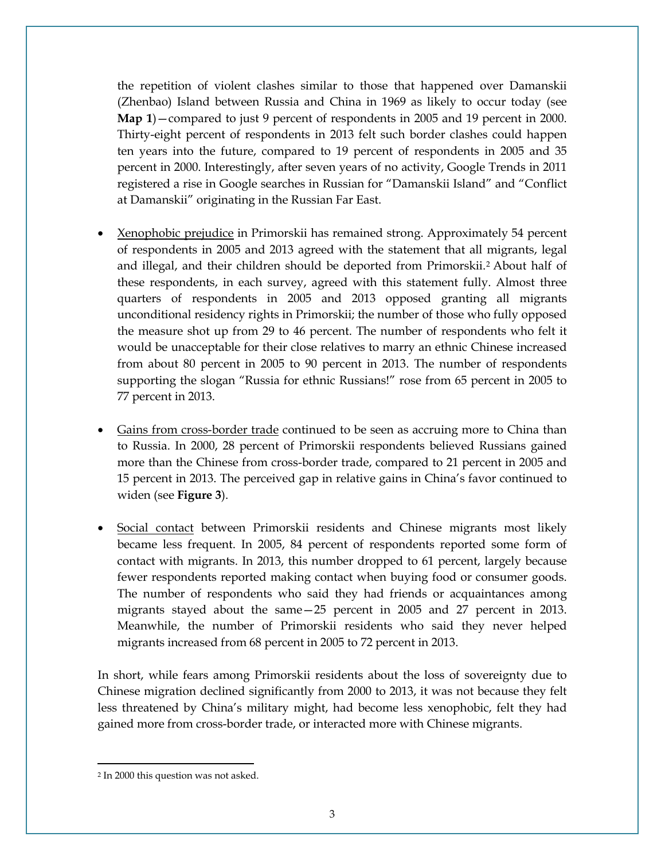the repetition of violent clashes similar to those that happened over Damanskii (Zhenbao) Island between Russia and China in 1969 as likely to occur today (see **Map 1**)—compared to just 9 percent of respondents in 2005 and 19 percent in 2000. Thirty-eight percent of respondents in 2013 felt such border clashes could happen ten years into the future, compared to 19 percent of respondents in 2005 and 35 percent in 2000. Interestingly, after seven years of no activity, Google Trends in 2011 registered a rise in Google searches in Russian for "Damanskii Island" and "Conflict at Damanskii" originating in the Russian Far East.

- Xenophobic prejudice in Primorskii has remained strong. Approximately 54 percent of respondents in 2005 and 2013 agreed with the statement that all migrants, legal and illegal, and their children should be deported from Primorskii.[2](#page-2-0) About half of these respondents, in each survey, agreed with this statement fully. Almost three quarters of respondents in 2005 and 2013 opposed granting all migrants unconditional residency rights in Primorskii; the number of those who fully opposed the measure shot up from 29 to 46 percent. The number of respondents who felt it would be unacceptable for their close relatives to marry an ethnic Chinese increased from about 80 percent in 2005 to 90 percent in 2013. The number of respondents supporting the slogan "Russia for ethnic Russians!" rose from 65 percent in 2005 to 77 percent in 2013.
- Gains from cross-border trade continued to be seen as accruing more to China than to Russia. In 2000, 28 percent of Primorskii respondents believed Russians gained more than the Chinese from cross-border trade, compared to 21 percent in 2005 and 15 percent in 2013. The perceived gap in relative gains in China's favor continued to widen (see **Figure 3**).
- Social contact between Primorskii residents and Chinese migrants most likely became less frequent. In 2005, 84 percent of respondents reported some form of contact with migrants. In 2013, this number dropped to 61 percent, largely because fewer respondents reported making contact when buying food or consumer goods. The number of respondents who said they had friends or acquaintances among migrants stayed about the same—25 percent in 2005 and 27 percent in 2013. Meanwhile, the number of Primorskii residents who said they never helped migrants increased from 68 percent in 2005 to 72 percent in 2013.

In short, while fears among Primorskii residents about the loss of sovereignty due to Chinese migration declined significantly from 2000 to 2013, it was not because they felt less threatened by China's military might, had become less xenophobic, felt they had gained more from cross-border trade, or interacted more with Chinese migrants.

l

<span id="page-2-0"></span><sup>2</sup> In 2000 this question was not asked.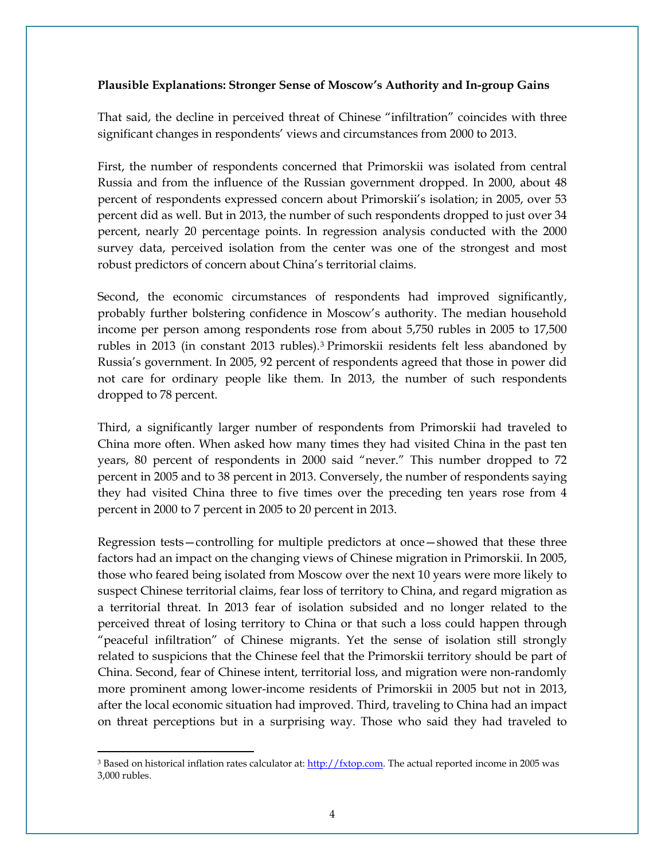### **Plausible Explanations: Stronger Sense of Moscow's Authority and In-group Gains**

That said, the decline in perceived threat of Chinese "infiltration" coincides with three significant changes in respondents' views and circumstances from 2000 to 2013.

First, the number of respondents concerned that Primorskii was isolated from central Russia and from the influence of the Russian government dropped. In 2000, about 48 percent of respondents expressed concern about Primorskii's isolation; in 2005, over 53 percent did as well. But in 2013, the number of such respondents dropped to just over 34 percent, nearly 20 percentage points. In regression analysis conducted with the 2000 survey data, perceived isolation from the center was one of the strongest and most robust predictors of concern about China's territorial claims.

Second, the economic circumstances of respondents had improved significantly, probably further bolstering confidence in Moscow's authority. The median household income per person among respondents rose from about 5,750 rubles in 2005 to 17,500 rubles in 2013 (in constant 2013 rubles).[3](#page-3-0) Primorskii residents felt less abandoned by Russia's government. In 2005, 92 percent of respondents agreed that those in power did not care for ordinary people like them. In 2013, the number of such respondents dropped to 78 percent.

Third, a significantly larger number of respondents from Primorskii had traveled to China more often. When asked how many times they had visited China in the past ten years, 80 percent of respondents in 2000 said "never." This number dropped to 72 percent in 2005 and to 38 percent in 2013. Conversely, the number of respondents saying they had visited China three to five times over the preceding ten years rose from 4 percent in 2000 to 7 percent in 2005 to 20 percent in 2013.

Regression tests—controlling for multiple predictors at once—showed that these three factors had an impact on the changing views of Chinese migration in Primorskii. In 2005, those who feared being isolated from Moscow over the next 10 years were more likely to suspect Chinese territorial claims, fear loss of territory to China, and regard migration as a territorial threat. In 2013 fear of isolation subsided and no longer related to the perceived threat of losing territory to China or that such a loss could happen through "peaceful infiltration" of Chinese migrants. Yet the sense of isolation still strongly related to suspicions that the Chinese feel that the Primorskii territory should be part of China. Second, fear of Chinese intent, territorial loss, and migration were non-randomly more prominent among lower-income residents of Primorskii in 2005 but not in 2013, after the local economic situation had improved. Third, traveling to China had an impact on threat perceptions but in a surprising way. Those who said they had traveled to

l

<span id="page-3-0"></span><sup>&</sup>lt;sup>3</sup> Based on historical inflation rates calculator at: [http://fxtop.com.](http://fxtop.com/) The actual reported income in 2005 was 3,000 rubles.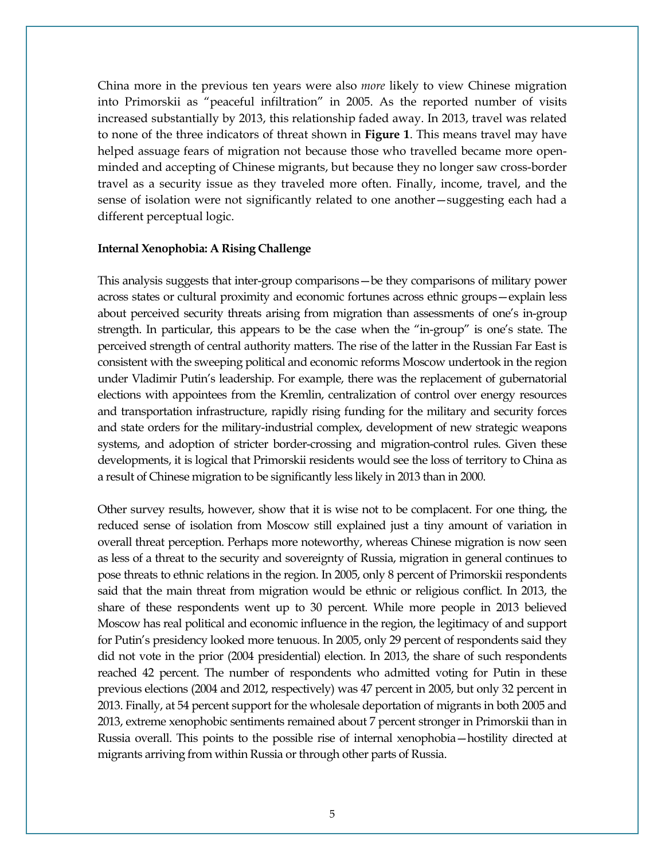China more in the previous ten years were also *more* likely to view Chinese migration into Primorskii as "peaceful infiltration" in 2005. As the reported number of visits increased substantially by 2013, this relationship faded away. In 2013, travel was related to none of the three indicators of threat shown in **Figure 1**. This means travel may have helped assuage fears of migration not because those who travelled became more openminded and accepting of Chinese migrants, but because they no longer saw cross-border travel as a security issue as they traveled more often. Finally, income, travel, and the sense of isolation were not significantly related to one another—suggesting each had a different perceptual logic.

#### **Internal Xenophobia: A Rising Challenge**

This analysis suggests that inter-group comparisons—be they comparisons of military power across states or cultural proximity and economic fortunes across ethnic groups—explain less about perceived security threats arising from migration than assessments of one's in-group strength. In particular, this appears to be the case when the "in-group" is one's state. The perceived strength of central authority matters. The rise of the latter in the Russian Far East is consistent with the sweeping political and economic reforms Moscow undertook in the region under Vladimir Putin's leadership. For example, there was the replacement of gubernatorial elections with appointees from the Kremlin, centralization of control over energy resources and transportation infrastructure, rapidly rising funding for the military and security forces and state orders for the military-industrial complex, development of new strategic weapons systems, and adoption of stricter border-crossing and migration-control rules. Given these developments, it is logical that Primorskii residents would see the loss of territory to China as a result of Chinese migration to be significantly less likely in 2013 than in 2000.

Other survey results, however, show that it is wise not to be complacent. For one thing, the reduced sense of isolation from Moscow still explained just a tiny amount of variation in overall threat perception. Perhaps more noteworthy, whereas Chinese migration is now seen as less of a threat to the security and sovereignty of Russia, migration in general continues to pose threats to ethnic relations in the region. In 2005, only 8 percent of Primorskii respondents said that the main threat from migration would be ethnic or religious conflict. In 2013, the share of these respondents went up to 30 percent. While more people in 2013 believed Moscow has real political and economic influence in the region, the legitimacy of and support for Putin's presidency looked more tenuous. In 2005, only 29 percent of respondents said they did not vote in the prior (2004 presidential) election. In 2013, the share of such respondents reached 42 percent. The number of respondents who admitted voting for Putin in these previous elections (2004 and 2012, respectively) was 47 percent in 2005, but only 32 percent in 2013. Finally, at 54 percent support for the wholesale deportation of migrants in both 2005 and 2013, extreme xenophobic sentiments remained about 7 percent stronger in Primorskii than in Russia overall. This points to the possible rise of internal xenophobia—hostility directed at migrants arriving from within Russia or through other parts of Russia.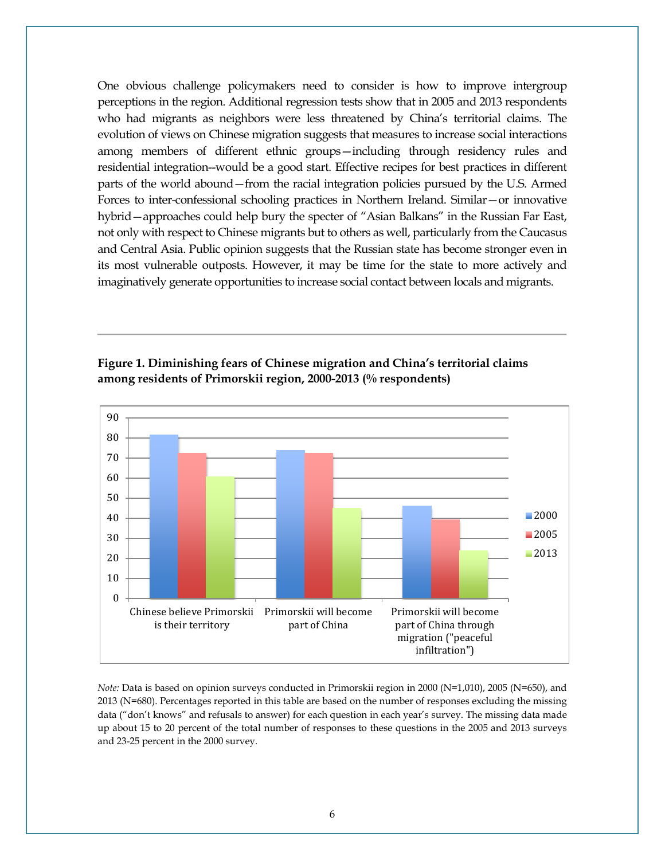One obvious challenge policymakers need to consider is how to improve intergroup perceptions in the region. Additional regression tests show that in 2005 and 2013 respondents who had migrants as neighbors were less threatened by China's territorial claims. The evolution of views on Chinese migration suggests that measures to increase social interactions among members of different ethnic groups—including through residency rules and residential integration--would be a good start. Effective recipes for best practices in different parts of the world abound—from the racial integration policies pursued by the U.S. Armed Forces to inter-confessional schooling practices in Northern Ireland. Similar—or innovative hybrid—approaches could help bury the specter of "Asian Balkans" in the Russian Far East, not only with respect to Chinese migrants but to others as well, particularly from the Caucasus and Central Asia. Public opinion suggests that the Russian state has become stronger even in its most vulnerable outposts. However, it may be time for the state to more actively and imaginatively generate opportunities to increase social contact between locals and migrants.



**Figure 1. Diminishing fears of Chinese migration and China's territorial claims among residents of Primorskii region, 2000-2013 (% respondents)**

*Note:* Data is based on opinion surveys conducted in Primorskii region in 2000 (N=1,010), 2005 (N=650), and 2013 (N=680). Percentages reported in this table are based on the number of responses excluding the missing data ("don't knows" and refusals to answer) for each question in each year's survey. The missing data made up about 15 to 20 percent of the total number of responses to these questions in the 2005 and 2013 surveys and 23-25 percent in the 2000 survey.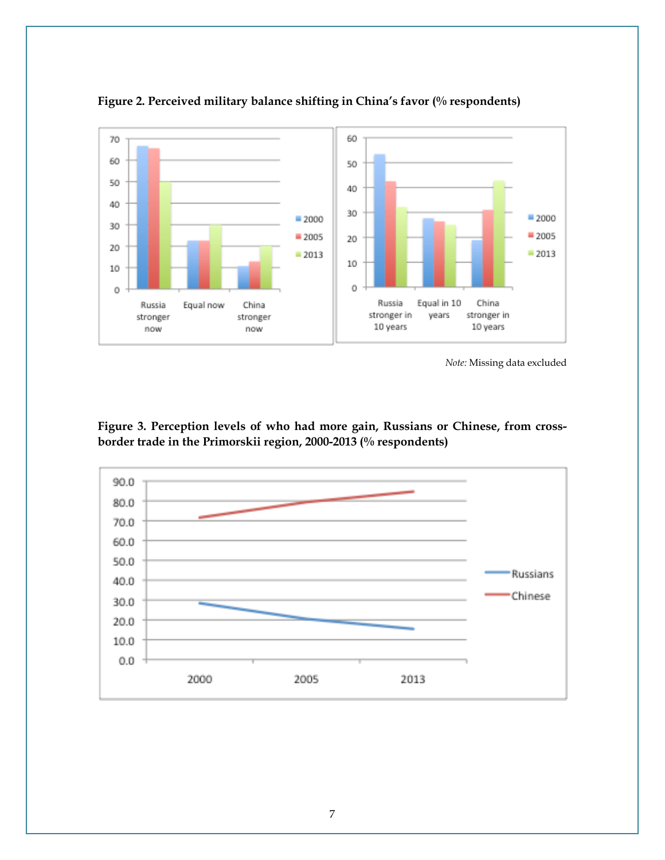

**Figure 2. Perceived military balance shifting in China's favor (% respondents)**

*Note:* Missing data excluded